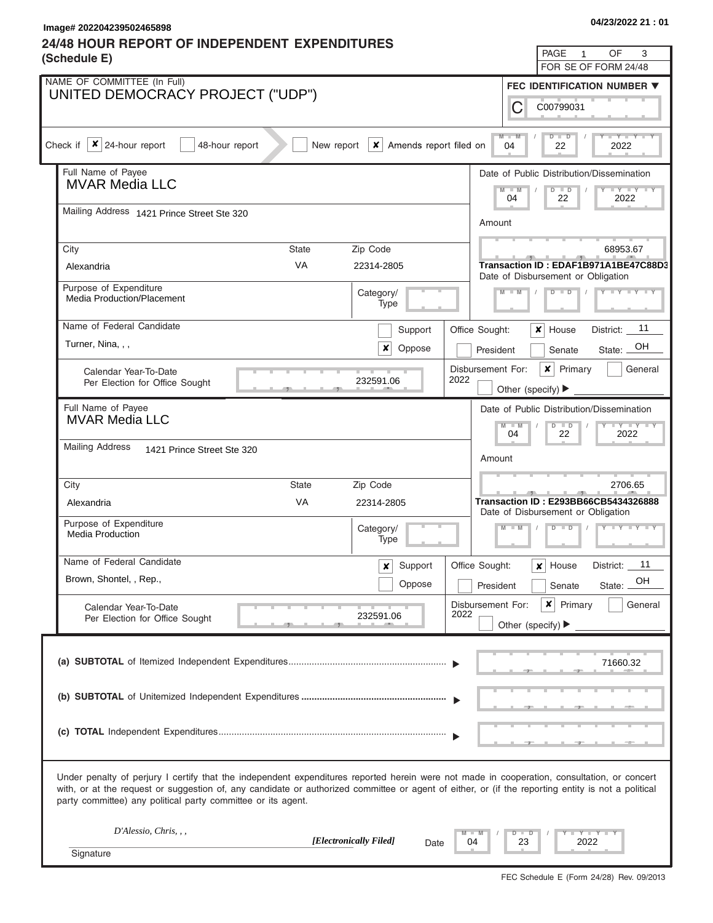**Image# 202204239502465898 04/23/2022 21 : 01**

## **24/48 HOUR REPORT OF INDEPENDENT EXPENDITURES**

| 04/23/2022 21 : 01 |
|--------------------|
|--------------------|

| PAGE<br>OF<br>3<br>$\mathbf{1}$<br>(Schedule E)<br>FOR SE OF FORM 24/48                                                                                                                                                                                                                                                                                           |                                                                                                                                                    |                                                                                                              |  |  |  |  |  |  |  |
|-------------------------------------------------------------------------------------------------------------------------------------------------------------------------------------------------------------------------------------------------------------------------------------------------------------------------------------------------------------------|----------------------------------------------------------------------------------------------------------------------------------------------------|--------------------------------------------------------------------------------------------------------------|--|--|--|--|--|--|--|
| NAME OF COMMITTEE (In Full)<br>FEC IDENTIFICATION NUMBER ▼                                                                                                                                                                                                                                                                                                        |                                                                                                                                                    |                                                                                                              |  |  |  |  |  |  |  |
| UNITED DEMOCRACY PROJECT ("UDP")                                                                                                                                                                                                                                                                                                                                  |                                                                                                                                                    |                                                                                                              |  |  |  |  |  |  |  |
| C<br>C00799031                                                                                                                                                                                                                                                                                                                                                    |                                                                                                                                                    |                                                                                                              |  |  |  |  |  |  |  |
| $M - M$<br>$D$ $D$<br>$Y - Y - I$<br>$\vert x \vert$ 24-hour report<br>Check if<br>48-hour report<br>New report<br>$\vert x \vert$ Amends report filed on<br>04<br>22<br>2022                                                                                                                                                                                     |                                                                                                                                                    |                                                                                                              |  |  |  |  |  |  |  |
| Full Name of Payee                                                                                                                                                                                                                                                                                                                                                |                                                                                                                                                    | Date of Public Distribution/Dissemination                                                                    |  |  |  |  |  |  |  |
| <b>MVAR Media LLC</b>                                                                                                                                                                                                                                                                                                                                             | $\mathsf{Y} = \mathsf{I} \cdot \mathsf{Y} = \mathsf{I} \cdot \mathsf{Y} = \mathsf{I} \cdot \mathsf{Y}$<br>$D$ $D$<br>$-N$<br>M<br>22<br>04<br>2022 |                                                                                                              |  |  |  |  |  |  |  |
| Mailing Address 1421 Prince Street Ste 320                                                                                                                                                                                                                                                                                                                        | Amount                                                                                                                                             |                                                                                                              |  |  |  |  |  |  |  |
| State<br>City                                                                                                                                                                                                                                                                                                                                                     | Zip Code                                                                                                                                           | 68953.67                                                                                                     |  |  |  |  |  |  |  |
| <b>VA</b><br>Alexandria                                                                                                                                                                                                                                                                                                                                           | 22314-2805                                                                                                                                         | Transaction ID: EDAF1B971A1BE47C88D3<br>Date of Disbursement or Obligation                                   |  |  |  |  |  |  |  |
| Purpose of Expenditure<br><b>Media Production/Placement</b>                                                                                                                                                                                                                                                                                                       | Category/<br>Type                                                                                                                                  | $I$ $Y$ $Y$ $Y$ $Y$ $Y$<br>$M - M$<br>$D$ $D$                                                                |  |  |  |  |  |  |  |
| Name of Federal Candidate                                                                                                                                                                                                                                                                                                                                         | Support                                                                                                                                            | 11<br>x<br>Office Sought:<br>House<br>District:                                                              |  |  |  |  |  |  |  |
| Turner, Nina, , ,                                                                                                                                                                                                                                                                                                                                                 | x<br>Oppose                                                                                                                                        | State: OH<br>President<br>Senate                                                                             |  |  |  |  |  |  |  |
| Calendar Year-To-Date<br>Per Election for Office Sought<br>- 91                                                                                                                                                                                                                                                                                                   | 232591.06                                                                                                                                          | Disbursement For:<br>$\boldsymbol{x}$<br>Primary<br>General<br>2022<br>Other (specify) $\blacktriangleright$ |  |  |  |  |  |  |  |
| Full Name of Payee                                                                                                                                                                                                                                                                                                                                                |                                                                                                                                                    | Date of Public Distribution/Dissemination                                                                    |  |  |  |  |  |  |  |
| <b>MVAR Media LLC</b>                                                                                                                                                                                                                                                                                                                                             |                                                                                                                                                    | $Y - Y - Y - Y - I - Y$<br>$M - M$<br>$D$ $D$<br>04<br>22<br>2022                                            |  |  |  |  |  |  |  |
| <b>Mailing Address</b><br>1421 Prince Street Ste 320                                                                                                                                                                                                                                                                                                              |                                                                                                                                                    |                                                                                                              |  |  |  |  |  |  |  |
|                                                                                                                                                                                                                                                                                                                                                                   |                                                                                                                                                    | Amount                                                                                                       |  |  |  |  |  |  |  |
| City<br>State                                                                                                                                                                                                                                                                                                                                                     | Zip Code                                                                                                                                           | 2706.65                                                                                                      |  |  |  |  |  |  |  |
| VA<br>Alexandria                                                                                                                                                                                                                                                                                                                                                  | 22314-2805                                                                                                                                         | Transaction ID: E293BB66CB5434326888<br>Date of Disbursement or Obligation                                   |  |  |  |  |  |  |  |
| Purpose of Expenditure<br><b>Media Production</b>                                                                                                                                                                                                                                                                                                                 | Category/<br>Type                                                                                                                                  | $Y = Y = Y = I - Y$<br>$M - M$<br>$D$ $D$                                                                    |  |  |  |  |  |  |  |
| Name of Federal Candidate                                                                                                                                                                                                                                                                                                                                         | Support<br>x                                                                                                                                       | 11<br>Office Sought:<br>District:<br>$x$ House                                                               |  |  |  |  |  |  |  |
| Brown, Shontel, , Rep.,                                                                                                                                                                                                                                                                                                                                           | Oppose                                                                                                                                             | OH<br>President<br>Senate<br>State:                                                                          |  |  |  |  |  |  |  |
| Calendar Year-To-Date<br>Per Election for Office Sought                                                                                                                                                                                                                                                                                                           | 232591.06                                                                                                                                          | $\mathsf{x}$<br>Primary<br>Disbursement For:<br>General<br>2022<br>Other (specify) $\blacktriangleright$     |  |  |  |  |  |  |  |
|                                                                                                                                                                                                                                                                                                                                                                   |                                                                                                                                                    |                                                                                                              |  |  |  |  |  |  |  |
| 71660.32                                                                                                                                                                                                                                                                                                                                                          |                                                                                                                                                    |                                                                                                              |  |  |  |  |  |  |  |
|                                                                                                                                                                                                                                                                                                                                                                   |                                                                                                                                                    |                                                                                                              |  |  |  |  |  |  |  |
|                                                                                                                                                                                                                                                                                                                                                                   |                                                                                                                                                    |                                                                                                              |  |  |  |  |  |  |  |
| Under penalty of perjury I certify that the independent expenditures reported herein were not made in cooperation, consultation, or concert<br>with, or at the request or suggestion of, any candidate or authorized committee or agent of either, or (if the reporting entity is not a political<br>party committee) any political party committee or its agent. |                                                                                                                                                    |                                                                                                              |  |  |  |  |  |  |  |
| D'Alessio, Chris, , ,                                                                                                                                                                                                                                                                                                                                             | [Electronically Filed]                                                                                                                             | $Y = Y - I$<br>$\Box$<br>D                                                                                   |  |  |  |  |  |  |  |
| 2022<br>23<br>04<br>Date<br>Signature                                                                                                                                                                                                                                                                                                                             |                                                                                                                                                    |                                                                                                              |  |  |  |  |  |  |  |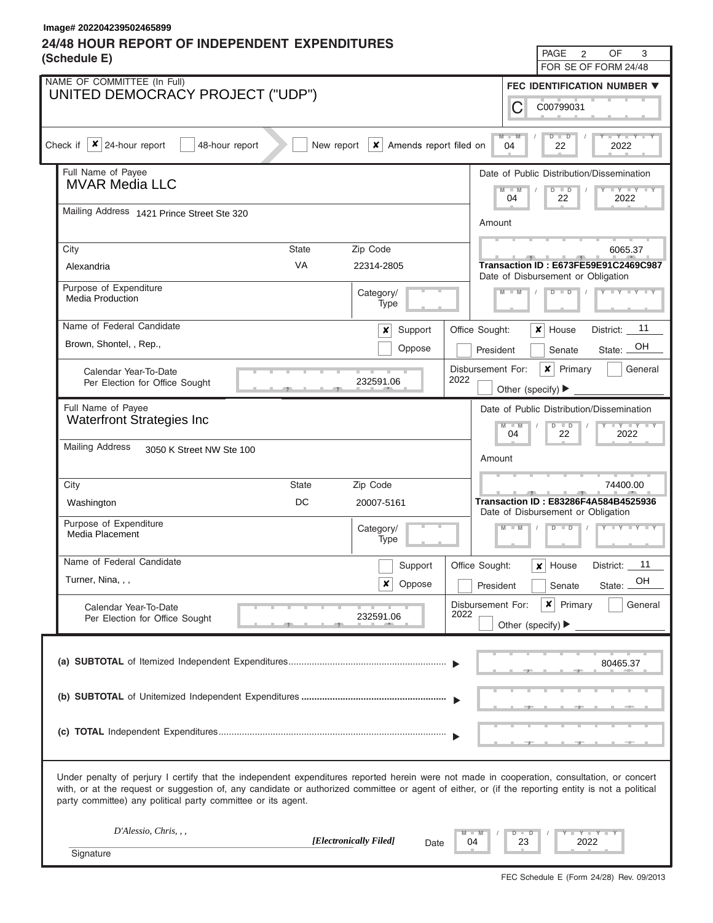## **24/48 HOUR REPORT OF INDEPENDENT EXPENDITURES Image# 202204239502465899**

| $\overline{2}$<br>OF<br>3<br>PAGE<br>(Schedule E)<br>FOR SE OF FORM 24/48                                                                                                                                                                                                                                                                                         |                                                         |                                |                                                                                   |                                                                                                                                                                                                     |                                                                            |                                      |  |  |  |
|-------------------------------------------------------------------------------------------------------------------------------------------------------------------------------------------------------------------------------------------------------------------------------------------------------------------------------------------------------------------|---------------------------------------------------------|--------------------------------|-----------------------------------------------------------------------------------|-----------------------------------------------------------------------------------------------------------------------------------------------------------------------------------------------------|----------------------------------------------------------------------------|--------------------------------------|--|--|--|
| NAME OF COMMITTEE (In Full)<br><b>FEC IDENTIFICATION NUMBER ▼</b>                                                                                                                                                                                                                                                                                                 |                                                         |                                |                                                                                   |                                                                                                                                                                                                     |                                                                            |                                      |  |  |  |
| UNITED DEMOCRACY PROJECT ("UDP")<br>С<br>C00799031                                                                                                                                                                                                                                                                                                                |                                                         |                                |                                                                                   |                                                                                                                                                                                                     |                                                                            |                                      |  |  |  |
|                                                                                                                                                                                                                                                                                                                                                                   |                                                         |                                |                                                                                   |                                                                                                                                                                                                     |                                                                            |                                      |  |  |  |
| $M - M$<br>$-Y - Y - Y - I$<br>$D$ $D$<br>Check if $\  \mathbf{x} \ $ 24-hour report<br>$\vert x \vert$ Amends report filed on<br>48-hour report<br>New report<br>04<br>22<br>2022                                                                                                                                                                                |                                                         |                                |                                                                                   |                                                                                                                                                                                                     |                                                                            |                                      |  |  |  |
|                                                                                                                                                                                                                                                                                                                                                                   | Full Name of Payee<br><b>MVAR Media LLC</b>             |                                |                                                                                   |                                                                                                                                                                                                     | Date of Public Distribution/Dissemination                                  |                                      |  |  |  |
|                                                                                                                                                                                                                                                                                                                                                                   |                                                         |                                | $Y = Y = Y = Y$<br>$\overline{\mathsf{M}}$<br>$-W$<br>$D$ $D$<br>22<br>04<br>2022 |                                                                                                                                                                                                     |                                                                            |                                      |  |  |  |
|                                                                                                                                                                                                                                                                                                                                                                   | Mailing Address 1421 Prince Street Ste 320              |                                |                                                                                   |                                                                                                                                                                                                     | Amount                                                                     |                                      |  |  |  |
|                                                                                                                                                                                                                                                                                                                                                                   | Zip Code<br>City<br><b>State</b>                        |                                |                                                                                   | 6065.37                                                                                                                                                                                             |                                                                            |                                      |  |  |  |
|                                                                                                                                                                                                                                                                                                                                                                   | <b>VA</b><br>Alexandria                                 | 22314-2805                     |                                                                                   |                                                                                                                                                                                                     |                                                                            | Transaction ID: E673FE59E91C2469C987 |  |  |  |
|                                                                                                                                                                                                                                                                                                                                                                   | Purpose of Expenditure<br><b>Media Production</b>       | Category/<br>Type              |                                                                                   | Date of Disbursement or Obligation<br>$\begin{array}{c} \begin{array}{c} \textbf{Y} & \textbf{Y} & \textbf{Y} & \textbf{Y} & \textbf{Y} & \textbf{Y} \end{array} \end{array}$<br>$D$ $D$<br>$M - M$ |                                                                            |                                      |  |  |  |
|                                                                                                                                                                                                                                                                                                                                                                   | Name of Federal Candidate                               | Support<br>$\boldsymbol{x}$    | Office Sought:                                                                    |                                                                                                                                                                                                     | ×<br>House                                                                 | District: 11                         |  |  |  |
|                                                                                                                                                                                                                                                                                                                                                                   | Brown, Shontel, , Rep.,                                 | Oppose                         |                                                                                   | State: OH<br>President<br>Senate                                                                                                                                                                    |                                                                            |                                      |  |  |  |
|                                                                                                                                                                                                                                                                                                                                                                   | Calendar Year-To-Date                                   | 232591.06                      | 2022                                                                              | $\pmb{\times}$<br>Primary<br>Disbursement For:<br>General                                                                                                                                           |                                                                            |                                      |  |  |  |
|                                                                                                                                                                                                                                                                                                                                                                   | Per Election for Office Sought                          |                                |                                                                                   | Other (specify) $\blacktriangleright$                                                                                                                                                               |                                                                            |                                      |  |  |  |
|                                                                                                                                                                                                                                                                                                                                                                   | Full Name of Payee<br><b>Waterfront Strategies Inc</b>  |                                |                                                                                   |                                                                                                                                                                                                     | Date of Public Distribution/Dissemination                                  |                                      |  |  |  |
|                                                                                                                                                                                                                                                                                                                                                                   |                                                         |                                |                                                                                   | $Y - Y - Y - Y - Y$<br>$M - M$<br>$D$ $D$<br>04<br>22<br>2022<br>Amount                                                                                                                             |                                                                            |                                      |  |  |  |
|                                                                                                                                                                                                                                                                                                                                                                   | <b>Mailing Address</b><br>3050 K Street NW Ste 100      |                                |                                                                                   |                                                                                                                                                                                                     |                                                                            |                                      |  |  |  |
|                                                                                                                                                                                                                                                                                                                                                                   | <b>State</b><br>City                                    | Zip Code                       |                                                                                   |                                                                                                                                                                                                     |                                                                            | 74400.00                             |  |  |  |
|                                                                                                                                                                                                                                                                                                                                                                   | DC<br>Washington                                        | 20007-5161                     |                                                                                   |                                                                                                                                                                                                     | Transaction ID: E83286F4A584B4525936<br>Date of Disbursement or Obligation |                                      |  |  |  |
|                                                                                                                                                                                                                                                                                                                                                                   | Purpose of Expenditure<br>Media Placement               | Category/                      |                                                                                   | $M - M$                                                                                                                                                                                             | $D$ $D$                                                                    | Y TY TY TY                           |  |  |  |
|                                                                                                                                                                                                                                                                                                                                                                   |                                                         | Type                           |                                                                                   |                                                                                                                                                                                                     |                                                                            |                                      |  |  |  |
|                                                                                                                                                                                                                                                                                                                                                                   | Name of Federal Candidate                               | Support                        | Office Sought:                                                                    |                                                                                                                                                                                                     | House<br>×                                                                 | 11<br>District:                      |  |  |  |
|                                                                                                                                                                                                                                                                                                                                                                   | Turner, Nina, , ,                                       | Oppose<br>x                    | President                                                                         |                                                                                                                                                                                                     | Senate                                                                     | OH<br>State:                         |  |  |  |
|                                                                                                                                                                                                                                                                                                                                                                   | Calendar Year-To-Date<br>Per Election for Office Sought | 232591.06                      | Disbursement For:<br>2022                                                         | Other (specify) $\blacktriangleright$                                                                                                                                                               | ×<br>Primary                                                               | General                              |  |  |  |
|                                                                                                                                                                                                                                                                                                                                                                   |                                                         |                                |                                                                                   |                                                                                                                                                                                                     |                                                                            |                                      |  |  |  |
|                                                                                                                                                                                                                                                                                                                                                                   |                                                         |                                |                                                                                   |                                                                                                                                                                                                     |                                                                            | 80465.37                             |  |  |  |
|                                                                                                                                                                                                                                                                                                                                                                   |                                                         |                                |                                                                                   |                                                                                                                                                                                                     |                                                                            |                                      |  |  |  |
|                                                                                                                                                                                                                                                                                                                                                                   |                                                         |                                |                                                                                   |                                                                                                                                                                                                     |                                                                            |                                      |  |  |  |
|                                                                                                                                                                                                                                                                                                                                                                   |                                                         |                                |                                                                                   |                                                                                                                                                                                                     |                                                                            |                                      |  |  |  |
|                                                                                                                                                                                                                                                                                                                                                                   |                                                         |                                |                                                                                   |                                                                                                                                                                                                     |                                                                            |                                      |  |  |  |
| Under penalty of perjury I certify that the independent expenditures reported herein were not made in cooperation, consultation, or concert<br>with, or at the request or suggestion of, any candidate or authorized committee or agent of either, or (if the reporting entity is not a political<br>party committee) any political party committee or its agent. |                                                         |                                |                                                                                   |                                                                                                                                                                                                     |                                                                            |                                      |  |  |  |
|                                                                                                                                                                                                                                                                                                                                                                   | D'Alessio, Chris, , ,                                   |                                |                                                                                   | D                                                                                                                                                                                                   | $Y = Y =$                                                                  |                                      |  |  |  |
|                                                                                                                                                                                                                                                                                                                                                                   | Signature                                               | [Electronically Filed]<br>Date | 04                                                                                | 23                                                                                                                                                                                                  | 2022                                                                       |                                      |  |  |  |